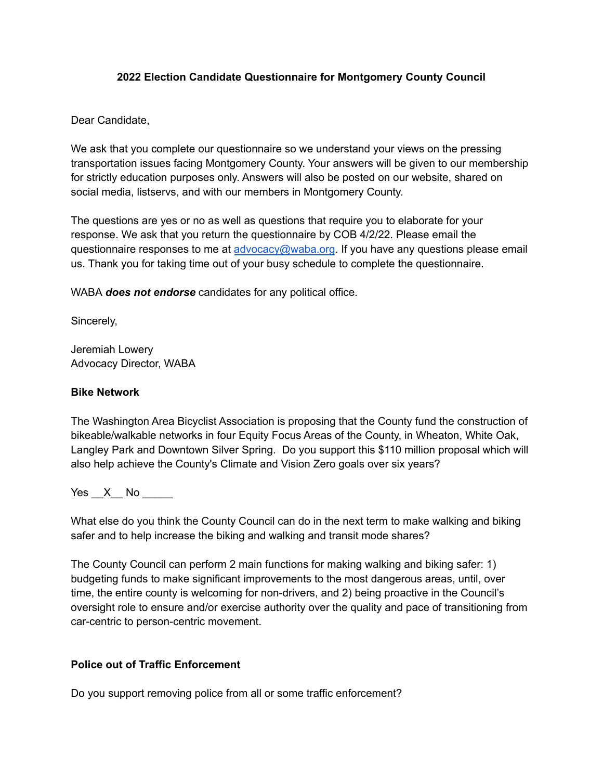### **2022 Election Candidate Questionnaire for Montgomery County Council**

## Dear Candidate,

We ask that you complete our questionnaire so we understand your views on the pressing transportation issues facing Montgomery County. Your answers will be given to our membership for strictly education purposes only. Answers will also be posted on our website, shared on social media, listservs, and with our members in Montgomery County.

The questions are yes or no as well as questions that require you to elaborate for your response. We ask that you return the questionnaire by COB 4/2/22. Please email the questionnaire responses to me at [advocacy@waba.org](mailto:advocacy@waba.org). If you have any questions please email us. Thank you for taking time out of your busy schedule to complete the questionnaire.

WABA *does not endorse* candidates for any political office.

Sincerely,

Jeremiah Lowery Advocacy Director, WABA

## **Bike Network**

The Washington Area Bicyclist Association is proposing that the County fund the construction of bikeable/walkable networks in four Equity Focus Areas of the County, in Wheaton, White Oak, Langley Park and Downtown Silver Spring. Do you support this \$110 million proposal which will also help achieve the County's Climate and Vision Zero goals over six years?

Yes X No  $\blacksquare$ 

What else do you think the County Council can do in the next term to make walking and biking safer and to help increase the biking and walking and transit mode shares?

The County Council can perform 2 main functions for making walking and biking safer: 1) budgeting funds to make significant improvements to the most dangerous areas, until, over time, the entire county is welcoming for non-drivers, and 2) being proactive in the Council's oversight role to ensure and/or exercise authority over the quality and pace of transitioning from car-centric to person-centric movement.

# **Police out of Traffic Enforcement**

Do you support removing police from all or some traffic enforcement?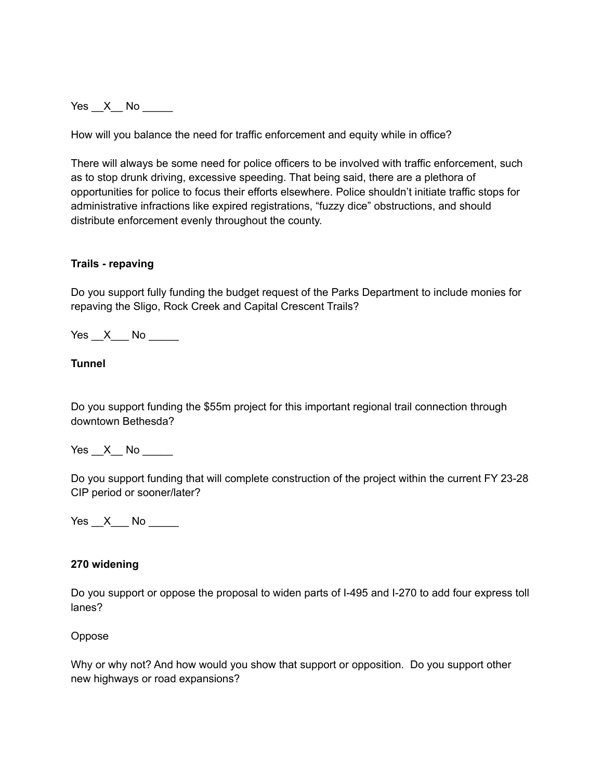$Yes \_\ X \_\ No \_\_$ 

How will you balance the need for traffic enforcement and equity while in office?

There will always be some need for police officers to be involved with traffic enforcement, such as to stop drunk driving, excessive speeding. That being said, there are a plethora of opportunities for police to focus their efforts elsewhere. Police shouldn't initiate traffic stops for administrative infractions like expired registrations, "fuzzy dice" obstructions, and should distribute enforcement evenly throughout the county.

### **Trails - repaving**

Do you support fully funding the budget request of the Parks Department to include monies for repaving the Sligo, Rock Creek and Capital Crescent Trails?

 $Yes \_\ X \_\$  No  $\_\_\_\$ 

### **Tunnel**

Do you support funding the \$55m project for this important regional trail connection through downtown Bethesda?

Yes  $X$  No  $\blacksquare$ 

Do you support funding that will complete construction of the project within the current FY 23-28 CIP period or sooner/later?

 $Yes \_ X \_ No \_$ 

#### **270 widening**

Do you support or oppose the proposal to widen parts of I-495 and I-270 to add four express toll lanes?

#### Oppose

Why or why not? And how would you show that support or opposition. Do you support other new highways or road expansions?